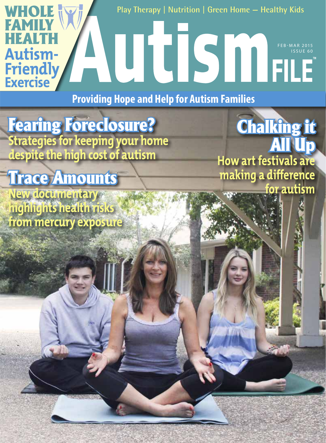**Play Therapy | Nutrition | Green Home — Healthy Kids**

FEB-MAR 2015 ISSUE 60

**Chalking it** 

**How art festivals are** 

**making a difference** 

All Up

**for autism**

**Providing Hope and Help for Autism Families**

Fearing Foreclosure? **Strategies for keeping your home despite the high cost of autism**

# Trace Amounts

**WHOLE** 

**FAMILY** 

HEALTH

**Autism-**

**Friendly**

**Exercise**

**New documentary highlights health risks from mercury exposure**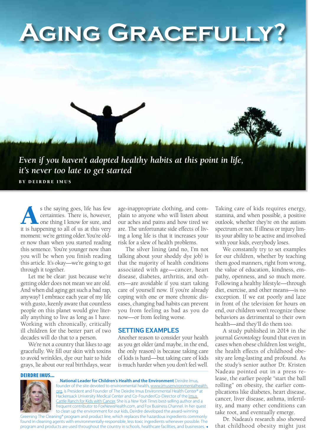

s the saying goes, life has few certainties. There is, however, one thing I know for sure, and it is happening to all of us at this very certainties. There is, however, one thing I know for sure, and moment: we're getting older. You're older now than when you started reading this sentence. You're younger now than you will be when you finish reading this article. It's okay—we're going to get through it together.

Let me be clear: just because we're getting older does not mean we are old. And when did aging get such a bad rap, anyway? I embrace each year of my life with gusto, keenly aware that countless people on this planet would give literally anything to live as long as I have. Working with chronically, critically ill children for the better part of two decades will do that to a person.

We're not a country that likes to age gracefully. We fill our skin with toxins to avoid wrinkles, dye our hair to hide grays, lie about our real birthdays, wear

age-inappropriate clothing, and complain to anyone who will listen about our aches and pains and how tired we are. The unfortunate side effects of living a long life is that it increases your risk for a slew of health problems.

The silver lining (and no, I'm not talking about your shoddy dye job) is that the majority of health conditions associated with age—cancer, heart disease, diabetes, arthritis, and others—are avoidable if you start taking care of yourself now. If you're already coping with one or more chronic diseases, changing bad habits can prevent you from feeling as bad as you do now—or from feeling worse.

# **SETTING EXAMPLES**

Another reason to consider your health as you get older (and maybe, in the end, the only reason) is because taking care of kids is hard—but taking care of kids is much harder when you don't feel well.

#### DEIRDRE IMUS...



…**National Leader for Children's Health and the Environment** Deirdre Imus, founder of the site devoted to environmental health, www.imusenvironmentalhealth. org, is President and Founder of The Deirdre Imus Environmental Health Center® at Hackensack University Medical Center and Co-Founder/Co-Director of the Imus Cattle Ranch for Kids with Cancer. She is a *New York Times* best-selling author and a frequent contributor to FoxNewsHealth.com, and Fox Business Channel. In her quest to clean up the environment for our kids, Deirdre developed the award-winning

Greening The Cleaning® program and product line, which replaces the hazardous ingredients commonly found in cleaning agents with environmentally-responsible, less toxic ingredients whenever possible. The program and products are used throughout the country in schools, healthcare facilities, and businesses. Taking care of kids requires energy, stamina, and when possible, a positive outlook, whether they're on the autism spectrum or not. If illness or injury limits your ability to be active and involved with your kids, everybody loses.

We constantly try to set examples for our children, whether by teaching them good manners, right from wrong, the value of education, kindness, empathy, openness, and so much more. Following a healthy lifestyle—through diet, exercise, and other means—is no exception. If we eat poorly and laze in front of the television for hours on end, our children won't recognize these behaviors as detrimental to their own health—and they'll do them too.

A study published in 2014 in the journal *Gerontology* found that even in cases when obese children lost weight, the health effects of childhood obesity are long-lasting and profound. As the study's senior author Dr. Kristen Nadeau pointed out in a press release, the earlier people "start the ball rolling" on obesity, the earlier complications like diabetes, heart disease, cancer, liver disease, asthma, infertility, and many other conditions can take root, and eventually emerge.

Dr. Nadeau's research also showed that childhood obesity might just